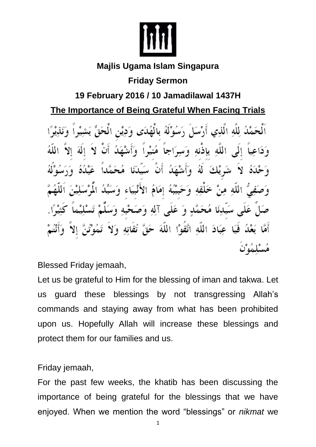

## **Majlis Ugama Islam Singapura**

## **Friday Sermon**

## **19 February 2016 / 10 Jamadilawal 1437H**

## **The Importance of Being Grateful When Facing Trials**

لُهِ لِلَّهِ الَّذِي أَرْسَلَ رَسُوْلَهُ بِالْهُدَى وَدِيْنِ الْحَقِّ ياذنه وَبد هُنيْدا وَأ الله ألهُ ه ا خَلْقِهِ وَحَبِيْبُهُ إِمَامُ الأَنْبِيَاءِ وَ الله حَمَّدٍ وَ عَلَى آلِهِ وَصَحْب عِبَادَ اللَّه اتَّقَوْا اللَّهَ حَقَّ

Blessed Friday jemaah,

Let us be grateful to Him for the blessing of iman and takwa. Let us guard these blessings by not transgressing Allah's commands and staying away from what has been prohibited upon us. Hopefully Allah will increase these blessings and protect them for our families and us.

Friday jemaah,

For the past few weeks, the khatib has been discussing the importance of being grateful for the blessings that we have enjoyed. When we mention the word "blessings" or *nikmat* we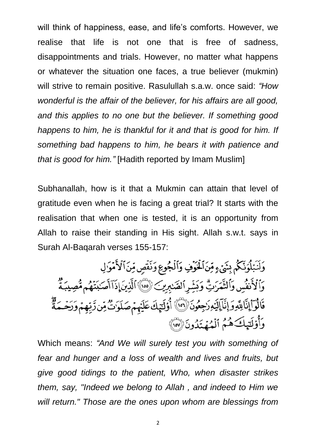will think of happiness, ease, and life's comforts. However, we realise that life is not one that is free of sadness, disappointments and trials. However, no matter what happens or whatever the situation one faces, a true believer (mukmin) will strive to remain positive. Rasulullah s.a.w. once said: *"How wonderful is the affair of the believer, for his affairs are all good, and this applies to no one but the believer. If something good happens to him, he is thankful for it and that is good for him. If something bad happens to him, he bears it with patience and that is good for him."* [Hadith reported by Imam Muslim]

Subhanallah, how is it that a Mukmin can attain that level of gratitude even when he is facing a great trial? It starts with the realisation that when one is tested, it is an opportunity from Allah to raise their standing in His sight. Allah s.w.t. says in Surah Al-Baqarah verses 155-157:

وَلَنَبۡلُوَنَّكُمۡ بِشَىۡءٍ مِّنَ ٱلۡخَوۡفِ وَٱلۡجُوعِ وَنَفۡصِ مِّنَ ٱلۡأَمۡوَٰ لِ وَٱلْأَنفُسِ وَٱلتَّمَرَّتِّ وَبَشِّرِٱلصَّٰبِرِينَ ۚ ۞ ٱلَّذِينَ إِذَآ أَصَـٰبَنَّهُم مُّصِيبَةٌ قَالُوٓا۟إِنَّالِلَّهِوَإِنَّآإِلَيۡوِرَجِعُونَ ۚ ۚ إِنَّاۚ إِذَلَتِيكَ عَلَيۡهِمۡ صَلَوَتُ مِّن زَبِّهِمۡ وَرَحۡمَةٌ وَأُوْلَتِهِكَ هُمُ ٱلْمُهَتَدُونَ (٣٧)

Which means: *"And We will surely test you with something of fear and hunger and a loss of wealth and lives and fruits, but give good tidings to the patient, Who, when disaster strikes them, say, "Indeed we belong to Allah , and indeed to Him we will return." Those are the ones upon whom are blessings from*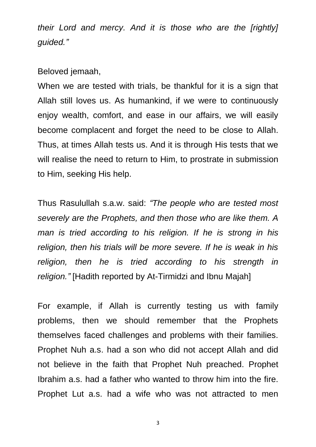*their Lord and mercy. And it is those who are the [rightly] guided."*

Beloved jemaah,

When we are tested with trials, be thankful for it is a sign that Allah still loves us. As humankind, if we were to continuously enjoy wealth, comfort, and ease in our affairs, we will easily become complacent and forget the need to be close to Allah. Thus, at times Allah tests us. And it is through His tests that we will realise the need to return to Him, to prostrate in submission to Him, seeking His help.

Thus Rasulullah s.a.w. said: *"The people who are tested most severely are the Prophets, and then those who are like them. A man is tried according to his religion. If he is strong in his religion, then his trials will be more severe. If he is weak in his religion, then he is tried according to his strength in religion."* [Hadith reported by At-Tirmidzi and Ibnu Majah]

For example, if Allah is currently testing us with family problems, then we should remember that the Prophets themselves faced challenges and problems with their families. Prophet Nuh a.s. had a son who did not accept Allah and did not believe in the faith that Prophet Nuh preached. Prophet Ibrahim a.s. had a father who wanted to throw him into the fire. Prophet Lut a.s. had a wife who was not attracted to men

3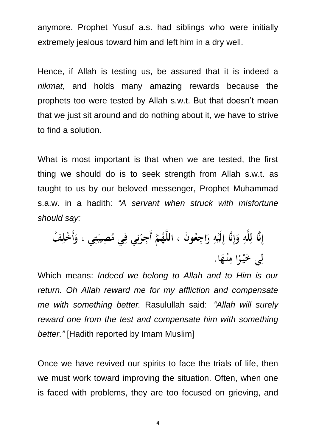anymore. Prophet Yusuf a.s. had siblings who were initially extremely jealous toward him and left him in a dry well.

Hence, if Allah is testing us, be assured that it is indeed a *nikmat,* and holds many amazing rewards because the prophets too were tested by Allah s.w.t. But that doesn't mean that we just sit around and do nothing about it, we have to strive to find a solution.

What is most important is that when we are tested, the first thing we should do is to seek strength from Allah s.w.t. as taught to us by our beloved messenger, Prophet Muhammad s.a.w. in a hadith: *"A servant when struck with misfortune should say:*

Which means: *Indeed we belong to Allah and to Him is our return. Oh Allah reward me for my affliction and compensate me with something better.* Rasulullah said: *"Allah will surely reward one from the test and compensate him with something better."* [Hadith reported by Imam Muslim]

Once we have revived our spirits to face the trials of life, then we must work toward improving the situation. Often, when one is faced with problems, they are too focused on grieving, and

4